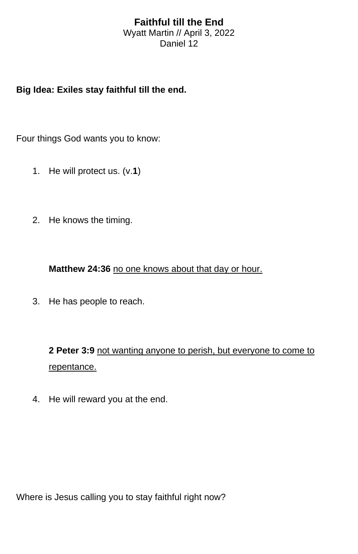## **Faithful till the End**

Wyatt Martin // April 3, 2022 Daniel 12

## **Big Idea: Exiles stay faithful till the end.**

Four things God wants you to know:

- 1. He will protect us. (v.**1**)
- 2. He knows the timing.

**Matthew 24:36** no one knows about that day or hour.

3. He has people to reach.

**2 Peter 3:9** not wanting anyone to perish, but everyone to come to repentance.

4. He will reward you at the end.

Where is Jesus calling you to stay faithful right now?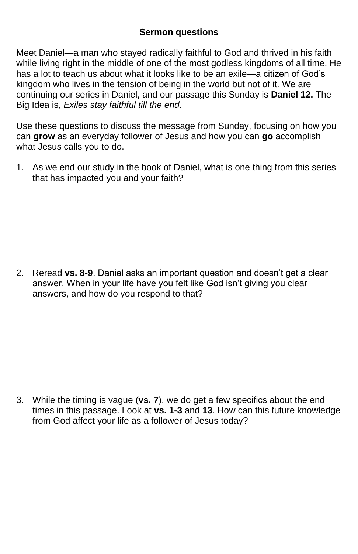## **Sermon questions**

Meet Daniel—a man who stayed radically faithful to God and thrived in his faith while living right in the middle of one of the most godless kingdoms of all time. He has a lot to teach us about what it looks like to be an exile—a citizen of God's kingdom who lives in the tension of being in the world but not of it. We are continuing our series in Daniel, and our passage this Sunday is **Daniel 12.** The Big Idea is, *Exiles stay faithful till the end.*

Use these questions to discuss the message from Sunday, focusing on how you can **grow** as an everyday follower of Jesus and how you can **go** accomplish what Jesus calls you to do.

1. As we end our study in the book of Daniel, what is one thing from this series that has impacted you and your faith?

2. Reread **vs. 8-9**. Daniel asks an important question and doesn't get a clear answer. When in your life have you felt like God isn't giving you clear answers, and how do you respond to that?

3. While the timing is vague (**vs. 7**), we do get a few specifics about the end times in this passage. Look at **vs. 1-3** and **13**. How can this future knowledge from God affect your life as a follower of Jesus today?